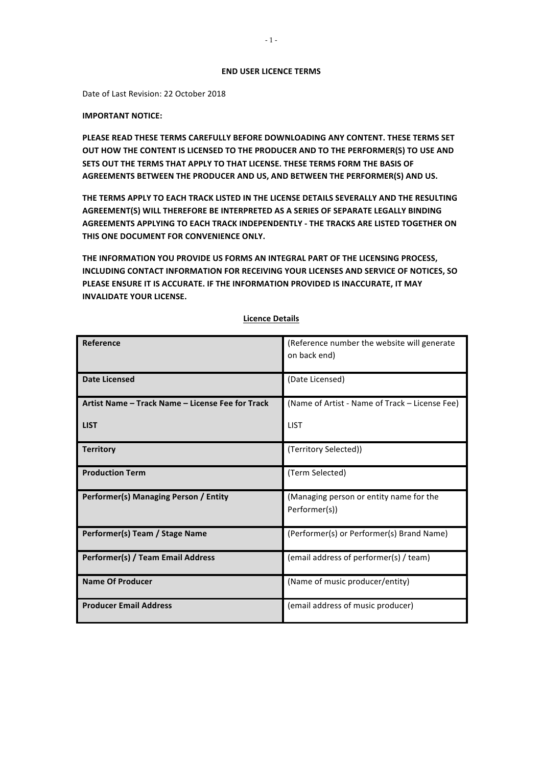#### **END USER LICENCE TERMS**

Date of Last Revision: 22 October 2018

### **IMPORTANT NOTICE:**

**PLEASE READ THESE TERMS CAREFULLY BEFORE DOWNLOADING ANY CONTENT. THESE TERMS SET** OUT HOW THE CONTENT IS LICENSED TO THE PRODUCER AND TO THE PERFORMER(S) TO USE AND **SETS OUT THE TERMS THAT APPLY TO THAT LICENSE. THESE TERMS FORM THE BASIS OF** AGREEMENTS BETWEEN THE PRODUCER AND US, AND BETWEEN THE PERFORMER(S) AND US.

THE TERMS APPLY TO EACH TRACK LISTED IN THE LICENSE DETAILS SEVERALLY AND THE RESULTING AGREEMENT(S) WILL THEREFORE BE INTERPRETED AS A SERIES OF SEPARATE LEGALLY BINDING **AGREEMENTS APPLYING TO EACH TRACK INDEPENDENTLY - THE TRACKS ARE LISTED TOGETHER ON THIS ONE DOCUMENT FOR CONVENIENCE ONLY.** 

THE INFORMATION YOU PROVIDE US FORMS AN INTEGRAL PART OF THE LICENSING PROCESS, **INCLUDING CONTACT INFORMATION FOR RECEIVING YOUR LICENSES AND SERVICE OF NOTICES, SO PLEASE ENSURE IT IS ACCURATE. IF THE INFORMATION PROVIDED IS INACCURATE, IT MAY INVALIDATE YOUR LICENSE.** 

| Reference                                        | (Reference number the website will generate<br>on back end) |
|--------------------------------------------------|-------------------------------------------------------------|
|                                                  |                                                             |
| <b>Date Licensed</b>                             | (Date Licensed)                                             |
| Artist Name – Track Name – License Fee for Track | (Name of Artist - Name of Track – License Fee)              |
| <b>LIST</b>                                      | <b>LIST</b>                                                 |
| <b>Territory</b>                                 | (Territory Selected))                                       |
| <b>Production Term</b>                           | (Term Selected)                                             |
| Performer(s) Managing Person / Entity            | (Managing person or entity name for the<br>Performer(s))    |
| Performer(s) Team / Stage Name                   | (Performer(s) or Performer(s) Brand Name)                   |
| Performer(s) / Team Email Address                | (email address of performer(s) / team)                      |
| <b>Name Of Producer</b>                          | (Name of music producer/entity)                             |
| <b>Producer Email Address</b>                    | (email address of music producer)                           |

# **Licence Details**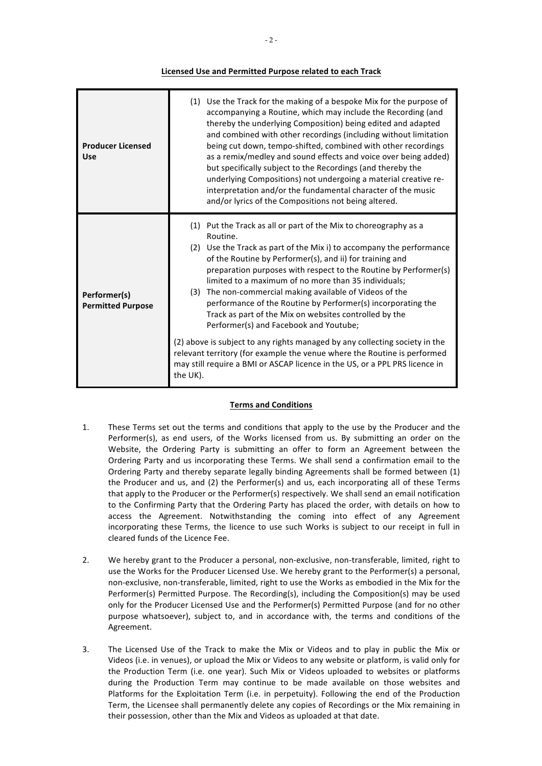# **Licensed Use and Permitted Purpose related to each Track**

| <b>Producer Licensed</b><br>Use          | (1) Use the Track for the making of a bespoke Mix for the purpose of<br>accompanying a Routine, which may include the Recording (and<br>thereby the underlying Composition) being edited and adapted<br>and combined with other recordings (including without limitation<br>being cut down, tempo-shifted, combined with other recordings<br>as a remix/medley and sound effects and voice over being added)<br>but specifically subject to the Recordings (and thereby the<br>underlying Compositions) not undergoing a material creative re-<br>interpretation and/or the fundamental character of the music<br>and/or lyrics of the Compositions not being altered.                                                                                                                                                                |
|------------------------------------------|---------------------------------------------------------------------------------------------------------------------------------------------------------------------------------------------------------------------------------------------------------------------------------------------------------------------------------------------------------------------------------------------------------------------------------------------------------------------------------------------------------------------------------------------------------------------------------------------------------------------------------------------------------------------------------------------------------------------------------------------------------------------------------------------------------------------------------------|
| Performer(s)<br><b>Permitted Purpose</b> | (1) Put the Track as all or part of the Mix to choreography as a<br>Routine.<br>(2) Use the Track as part of the Mix i) to accompany the performance<br>of the Routine by Performer(s), and ii) for training and<br>preparation purposes with respect to the Routine by Performer(s)<br>limited to a maximum of no more than 35 individuals;<br>The non-commercial making available of Videos of the<br>(3)<br>performance of the Routine by Performer(s) incorporating the<br>Track as part of the Mix on websites controlled by the<br>Performer(s) and Facebook and Youtube;<br>(2) above is subject to any rights managed by any collecting society in the<br>relevant territory (for example the venue where the Routine is performed<br>may still require a BMI or ASCAP licence in the US, or a PPL PRS licence in<br>the UK). |

# **Terms and Conditions**

- 1. These Terms set out the terms and conditions that apply to the use by the Producer and the Performer(s), as end users, of the Works licensed from us. By submitting an order on the Website, the Ordering Party is submitting an offer to form an Agreement between the Ordering Party and us incorporating these Terms. We shall send a confirmation email to the Ordering Party and thereby separate legally binding Agreements shall be formed between (1) the Producer and us, and  $(2)$  the Performer(s) and us, each incorporating all of these Terms that apply to the Producer or the Performer(s) respectively. We shall send an email notification to the Confirming Party that the Ordering Party has placed the order, with details on how to access the Agreement. Notwithstanding the coming into effect of any Agreement incorporating these Terms, the licence to use such Works is subject to our receipt in full in cleared funds of the Licence Fee.
- 2. We hereby grant to the Producer a personal, non-exclusive, non-transferable, limited, right to use the Works for the Producer Licensed Use. We hereby grant to the Performer(s) a personal, non-exclusive, non-transferable, limited, right to use the Works as embodied in the Mix for the Performer(s) Permitted Purpose. The Recording(s), including the Composition(s) may be used only for the Producer Licensed Use and the Performer(s) Permitted Purpose (and for no other purpose whatsoever), subject to, and in accordance with, the terms and conditions of the Agreement.
- 3. The Licensed Use of the Track to make the Mix or Videos and to play in public the Mix or Videos (i.e. in venues), or upload the Mix or Videos to any website or platform, is valid only for the Production Term (i.e. one year). Such Mix or Videos uploaded to websites or platforms during the Production Term may continue to be made available on those websites and Platforms for the Exploitation Term (i.e. in perpetuity). Following the end of the Production Term, the Licensee shall permanently delete any copies of Recordings or the Mix remaining in their possession, other than the Mix and Videos as uploaded at that date.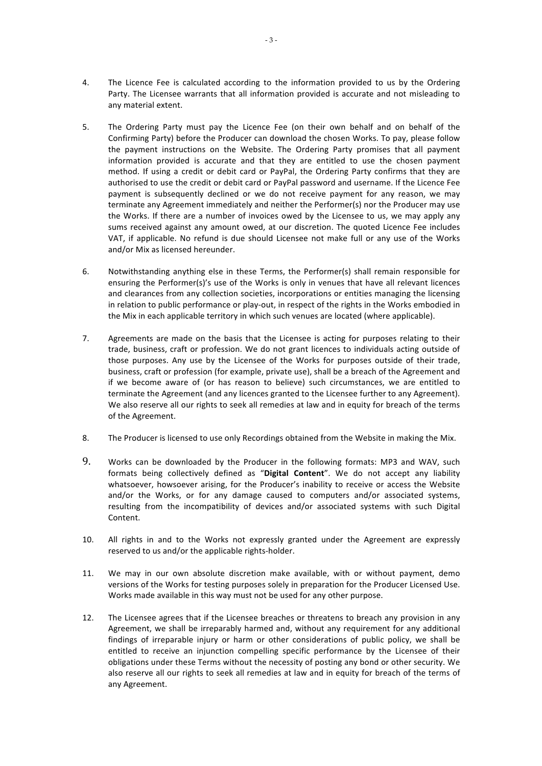- 4. The Licence Fee is calculated according to the information provided to us by the Ordering Party. The Licensee warrants that all information provided is accurate and not misleading to any material extent.
- 5. The Ordering Party must pay the Licence Fee (on their own behalf and on behalf of the Confirming Party) before the Producer can download the chosen Works. To pay, please follow the payment instructions on the Website. The Ordering Party promises that all payment information provided is accurate and that they are entitled to use the chosen payment method. If using a credit or debit card or PayPal, the Ordering Party confirms that they are authorised to use the credit or debit card or PayPal password and username. If the Licence Fee payment is subsequently declined or we do not receive payment for any reason, we may terminate any Agreement immediately and neither the Performer(s) nor the Producer may use the Works. If there are a number of invoices owed by the Licensee to us, we may apply any sums received against any amount owed, at our discretion. The quoted Licence Fee includes VAT, if applicable. No refund is due should Licensee not make full or any use of the Works and/or Mix as licensed hereunder.
- 6. Notwithstanding anything else in these Terms, the Performer(s) shall remain responsible for ensuring the Performer(s)'s use of the Works is only in venues that have all relevant licences and clearances from any collection societies, incorporations or entities managing the licensing in relation to public performance or play-out, in respect of the rights in the Works embodied in the Mix in each applicable territory in which such venues are located (where applicable).
- 7. Agreements are made on the basis that the Licensee is acting for purposes relating to their trade, business, craft or profession. We do not grant licences to individuals acting outside of those purposes. Any use by the Licensee of the Works for purposes outside of their trade, business, craft or profession (for example, private use), shall be a breach of the Agreement and if we become aware of (or has reason to believe) such circumstances, we are entitled to terminate the Agreement (and any licences granted to the Licensee further to any Agreement). We also reserve all our rights to seek all remedies at law and in equity for breach of the terms of the Agreement.
- 8. The Producer is licensed to use only Recordings obtained from the Website in making the Mix.
- 9. Works can be downloaded by the Producer in the following formats: MP3 and WAV, such formats being collectively defined as "Digital Content". We do not accept any liability whatsoever, howsoever arising, for the Producer's inability to receive or access the Website and/or the Works, or for any damage caused to computers and/or associated systems, resulting from the incompatibility of devices and/or associated systems with such Digital Content.
- 10. All rights in and to the Works not expressly granted under the Agreement are expressly reserved to us and/or the applicable rights-holder.
- 11. We may in our own absolute discretion make available, with or without payment, demo versions of the Works for testing purposes solely in preparation for the Producer Licensed Use. Works made available in this way must not be used for any other purpose.
- 12. The Licensee agrees that if the Licensee breaches or threatens to breach any provision in any Agreement, we shall be irreparably harmed and, without any requirement for any additional findings of irreparable injury or harm or other considerations of public policy, we shall be entitled to receive an injunction compelling specific performance by the Licensee of their obligations under these Terms without the necessity of posting any bond or other security. We also reserve all our rights to seek all remedies at law and in equity for breach of the terms of any Agreement.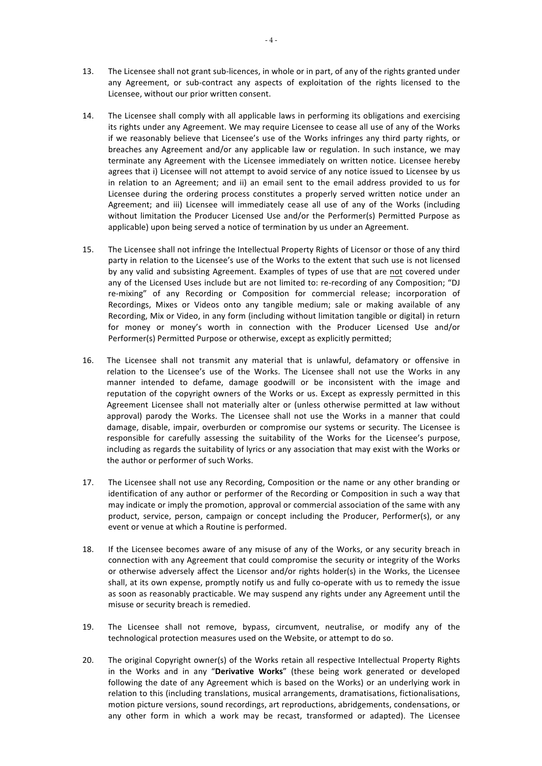- 13. The Licensee shall not grant sub-licences, in whole or in part, of any of the rights granted under any Agreement, or sub-contract any aspects of exploitation of the rights licensed to the Licensee, without our prior written consent.
- 14. The Licensee shall comply with all applicable laws in performing its obligations and exercising its rights under any Agreement. We may require Licensee to cease all use of any of the Works if we reasonably believe that Licensee's use of the Works infringes any third party rights, or breaches any Agreement and/or any applicable law or regulation. In such instance, we may terminate any Agreement with the Licensee immediately on written notice. Licensee hereby agrees that i) Licensee will not attempt to avoid service of any notice issued to Licensee by us in relation to an Agreement; and ii) an email sent to the email address provided to us for Licensee during the ordering process constitutes a properly served written notice under an Agreement; and iii) Licensee will immediately cease all use of any of the Works (including without limitation the Producer Licensed Use and/or the Performer(s) Permitted Purpose as applicable) upon being served a notice of termination by us under an Agreement.
- 15. The Licensee shall not infringe the Intellectual Property Rights of Licensor or those of any third party in relation to the Licensee's use of the Works to the extent that such use is not licensed by any valid and subsisting Agreement. Examples of types of use that are not covered under any of the Licensed Uses include but are not limited to: re-recording of any Composition; "DJ re-mixing" of any Recording or Composition for commercial release; incorporation of Recordings, Mixes or Videos onto any tangible medium; sale or making available of any Recording, Mix or Video, in any form (including without limitation tangible or digital) in return for money or money's worth in connection with the Producer Licensed Use and/or Performer(s) Permitted Purpose or otherwise, except as explicitly permitted;
- 16. The Licensee shall not transmit any material that is unlawful, defamatory or offensive in relation to the Licensee's use of the Works. The Licensee shall not use the Works in any manner intended to defame, damage goodwill or be inconsistent with the image and reputation of the copyright owners of the Works or us. Except as expressly permitted in this Agreement Licensee shall not materially alter or (unless otherwise permitted at law without approval) parody the Works. The Licensee shall not use the Works in a manner that could damage, disable, impair, overburden or compromise our systems or security. The Licensee is responsible for carefully assessing the suitability of the Works for the Licensee's purpose, including as regards the suitability of lyrics or any association that may exist with the Works or the author or performer of such Works.
- 17. The Licensee shall not use any Recording, Composition or the name or any other branding or identification of any author or performer of the Recording or Composition in such a way that may indicate or imply the promotion, approval or commercial association of the same with any product, service, person, campaign or concept including the Producer, Performer(s), or any event or venue at which a Routine is performed.
- 18. If the Licensee becomes aware of any misuse of any of the Works, or any security breach in connection with any Agreement that could compromise the security or integrity of the Works or otherwise adversely affect the Licensor and/or rights holder(s) in the Works, the Licensee shall, at its own expense, promptly notify us and fully co-operate with us to remedy the issue as soon as reasonably practicable. We may suspend any rights under any Agreement until the misuse or security breach is remedied.
- 19. The Licensee shall not remove, bypass, circumvent, neutralise, or modify any of the technological protection measures used on the Website, or attempt to do so.
- 20. The original Copyright owner(s) of the Works retain all respective Intellectual Property Rights in the Works and in any "Derivative Works" (these being work generated or developed following the date of any Agreement which is based on the Works) or an underlying work in relation to this (including translations, musical arrangements, dramatisations, fictionalisations, motion picture versions, sound recordings, art reproductions, abridgements, condensations, or any other form in which a work may be recast, transformed or adapted). The Licensee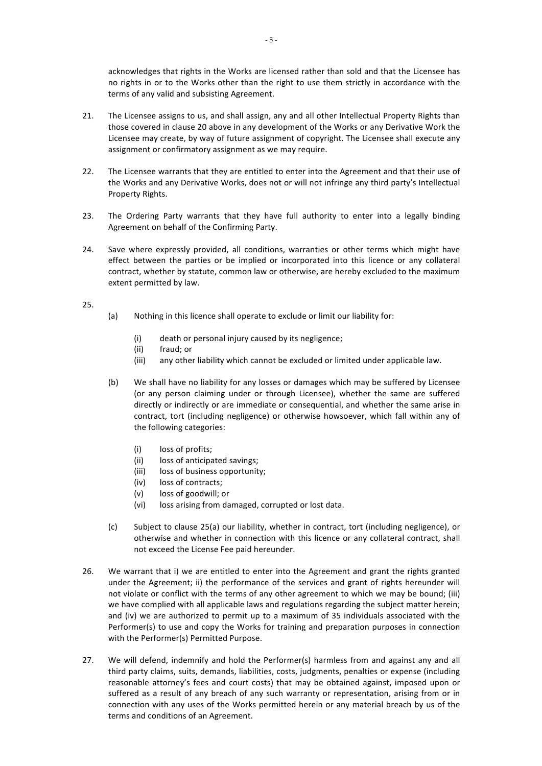acknowledges that rights in the Works are licensed rather than sold and that the Licensee has no rights in or to the Works other than the right to use them strictly in accordance with the terms of any valid and subsisting Agreement.

- 21. The Licensee assigns to us, and shall assign, any and all other Intellectual Property Rights than those covered in clause 20 above in any development of the Works or any Derivative Work the Licensee may create, by way of future assignment of copyright. The Licensee shall execute any assignment or confirmatory assignment as we may require.
- 22. The Licensee warrants that they are entitled to enter into the Agreement and that their use of the Works and any Derivative Works, does not or will not infringe any third party's Intellectual Property Rights.
- 23. The Ordering Party warrants that they have full authority to enter into a legally binding Agreement on behalf of the Confirming Party.
- 24. Save where expressly provided, all conditions, warranties or other terms which might have effect between the parties or be implied or incorporated into this licence or any collateral contract, whether by statute, common law or otherwise, are hereby excluded to the maximum extent permitted by law.

### 25.

- (a) Nothing in this licence shall operate to exclude or limit our liability for:
	- (i) death or personal injury caused by its negligence;
	- (ii) fraud; or
	- (iii) any other liability which cannot be excluded or limited under applicable law.
- (b) We shall have no liability for any losses or damages which may be suffered by Licensee (or any person claiming under or through Licensee), whether the same are suffered directly or indirectly or are immediate or consequential, and whether the same arise in contract, tort (including negligence) or otherwise howsoever, which fall within any of the following categories:
	- (i) loss of profits;
	- (ii) loss of anticipated savings;
	- (iii) loss of business opportunity;
	- (iv) loss of contracts;
	- (v) loss of goodwill; or
	- (vi) loss arising from damaged, corrupted or lost data.
- (c) Subject to clause 25(a) our liability, whether in contract, tort (including negligence), or otherwise and whether in connection with this licence or any collateral contract, shall not exceed the License Fee paid hereunder.
- 26. We warrant that i) we are entitled to enter into the Agreement and grant the rights granted under the Agreement; ii) the performance of the services and grant of rights hereunder will not violate or conflict with the terms of any other agreement to which we may be bound; (iii) we have complied with all applicable laws and regulations regarding the subject matter herein; and (iv) we are authorized to permit up to a maximum of 35 individuals associated with the Performer(s) to use and copy the Works for training and preparation purposes in connection with the Performer(s) Permitted Purpose.
- 27. We will defend, indemnify and hold the Performer(s) harmless from and against any and all third party claims, suits, demands, liabilities, costs, judgments, penalties or expense (including reasonable attorney's fees and court costs) that may be obtained against, imposed upon or suffered as a result of any breach of any such warranty or representation, arising from or in connection with any uses of the Works permitted herein or any material breach by us of the terms and conditions of an Agreement.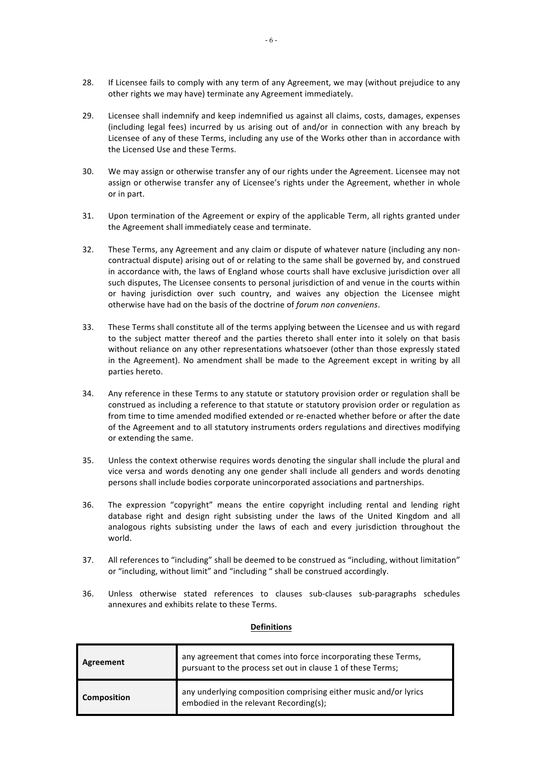- 28. If Licensee fails to comply with any term of any Agreement, we may (without prejudice to any other rights we may have) terminate any Agreement immediately.
- 29. Licensee shall indemnify and keep indemnified us against all claims, costs, damages, expenses (including legal fees) incurred by us arising out of and/or in connection with any breach by Licensee of any of these Terms, including any use of the Works other than in accordance with the Licensed Use and these Terms.
- 30. We may assign or otherwise transfer any of our rights under the Agreement. Licensee may not assign or otherwise transfer any of Licensee's rights under the Agreement, whether in whole or in part.
- 31. Upon termination of the Agreement or expiry of the applicable Term, all rights granted under the Agreement shall immediately cease and terminate.
- 32. These Terms, any Agreement and any claim or dispute of whatever nature (including any noncontractual dispute) arising out of or relating to the same shall be governed by, and construed in accordance with, the laws of England whose courts shall have exclusive jurisdiction over all such disputes, The Licensee consents to personal jurisdiction of and venue in the courts within or having jurisdiction over such country, and waives any objection the Licensee might otherwise have had on the basis of the doctrine of *forum non conveniens*.
- 33. These Terms shall constitute all of the terms applying between the Licensee and us with regard to the subject matter thereof and the parties thereto shall enter into it solely on that basis without reliance on any other representations whatsoever (other than those expressly stated in the Agreement). No amendment shall be made to the Agreement except in writing by all parties hereto.
- 34. Any reference in these Terms to any statute or statutory provision order or regulation shall be construed as including a reference to that statute or statutory provision order or regulation as from time to time amended modified extended or re-enacted whether before or after the date of the Agreement and to all statutory instruments orders regulations and directives modifying or extending the same.
- 35. Unless the context otherwise requires words denoting the singular shall include the plural and vice versa and words denoting any one gender shall include all genders and words denoting persons shall include bodies corporate unincorporated associations and partnerships.
- 36. The expression "copyright" means the entire copyright including rental and lending right database right and design right subsisting under the laws of the United Kingdom and all analogous rights subsisting under the laws of each and every jurisdiction throughout the world.
- 37. All references to "including" shall be deemed to be construed as "including, without limitation" or "including, without limit" and "including " shall be construed accordingly.
- 36. Unless otherwise stated references to clauses sub-clauses sub-paragraphs schedules annexures and exhibits relate to these Terms.

# **Definitions**

| Agreement          | any agreement that comes into force incorporating these Terms,<br>pursuant to the process set out in clause 1 of these Terms; |
|--------------------|-------------------------------------------------------------------------------------------------------------------------------|
| <b>Composition</b> | any underlying composition comprising either music and/or lyrics<br>embodied in the relevant Recording(s);                    |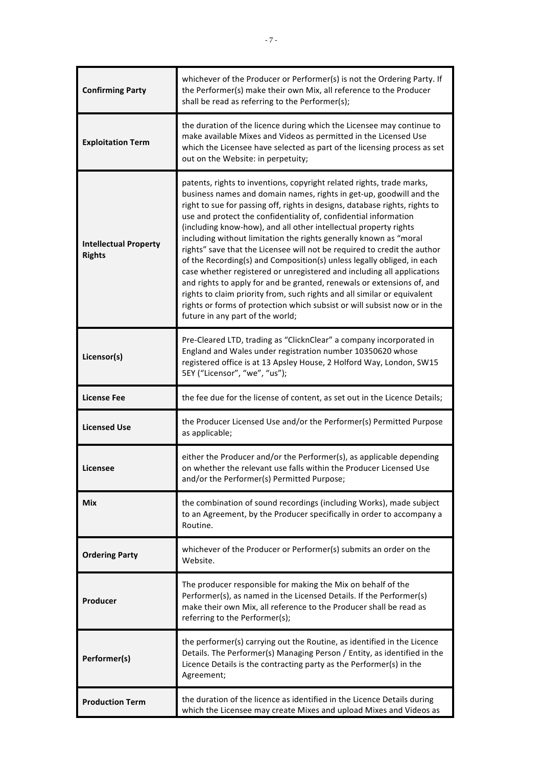| <b>Confirming Party</b>                       | whichever of the Producer or Performer(s) is not the Ordering Party. If<br>the Performer(s) make their own Mix, all reference to the Producer<br>shall be read as referring to the Performer(s);                                                                                                                                                                                                                                                                                                                                                                                                                                                                                                                                                                                                                                                                                                                                                |
|-----------------------------------------------|-------------------------------------------------------------------------------------------------------------------------------------------------------------------------------------------------------------------------------------------------------------------------------------------------------------------------------------------------------------------------------------------------------------------------------------------------------------------------------------------------------------------------------------------------------------------------------------------------------------------------------------------------------------------------------------------------------------------------------------------------------------------------------------------------------------------------------------------------------------------------------------------------------------------------------------------------|
| <b>Exploitation Term</b>                      | the duration of the licence during which the Licensee may continue to<br>make available Mixes and Videos as permitted in the Licensed Use<br>which the Licensee have selected as part of the licensing process as set<br>out on the Website: in perpetuity;                                                                                                                                                                                                                                                                                                                                                                                                                                                                                                                                                                                                                                                                                     |
| <b>Intellectual Property</b><br><b>Rights</b> | patents, rights to inventions, copyright related rights, trade marks,<br>business names and domain names, rights in get-up, goodwill and the<br>right to sue for passing off, rights in designs, database rights, rights to<br>use and protect the confidentiality of, confidential information<br>(including know-how), and all other intellectual property rights<br>including without limitation the rights generally known as "moral<br>rights" save that the Licensee will not be required to credit the author<br>of the Recording(s) and Composition(s) unless legally obliged, in each<br>case whether registered or unregistered and including all applications<br>and rights to apply for and be granted, renewals or extensions of, and<br>rights to claim priority from, such rights and all similar or equivalent<br>rights or forms of protection which subsist or will subsist now or in the<br>future in any part of the world; |
| Licensor(s)                                   | Pre-Cleared LTD, trading as "ClicknClear" a company incorporated in<br>England and Wales under registration number 10350620 whose<br>registered office is at 13 Apsley House, 2 Holford Way, London, SW15<br>5EY ("Licensor", "we", "us");                                                                                                                                                                                                                                                                                                                                                                                                                                                                                                                                                                                                                                                                                                      |
| <b>License Fee</b>                            | the fee due for the license of content, as set out in the Licence Details;                                                                                                                                                                                                                                                                                                                                                                                                                                                                                                                                                                                                                                                                                                                                                                                                                                                                      |
| <b>Licensed Use</b>                           | the Producer Licensed Use and/or the Performer(s) Permitted Purpose<br>as applicable;                                                                                                                                                                                                                                                                                                                                                                                                                                                                                                                                                                                                                                                                                                                                                                                                                                                           |
| Licensee                                      | either the Producer and/or the Performer(s), as applicable depending<br>on whether the relevant use falls within the Producer Licensed Use<br>and/or the Performer(s) Permitted Purpose;                                                                                                                                                                                                                                                                                                                                                                                                                                                                                                                                                                                                                                                                                                                                                        |
| <b>Mix</b>                                    | the combination of sound recordings (including Works), made subject<br>to an Agreement, by the Producer specifically in order to accompany a<br>Routine.                                                                                                                                                                                                                                                                                                                                                                                                                                                                                                                                                                                                                                                                                                                                                                                        |
| <b>Ordering Party</b>                         | whichever of the Producer or Performer(s) submits an order on the<br>Website.                                                                                                                                                                                                                                                                                                                                                                                                                                                                                                                                                                                                                                                                                                                                                                                                                                                                   |
| Producer                                      | The producer responsible for making the Mix on behalf of the<br>Performer(s), as named in the Licensed Details. If the Performer(s)<br>make their own Mix, all reference to the Producer shall be read as<br>referring to the Performer(s);                                                                                                                                                                                                                                                                                                                                                                                                                                                                                                                                                                                                                                                                                                     |
| Performer(s)                                  | the performer(s) carrying out the Routine, as identified in the Licence<br>Details. The Performer(s) Managing Person / Entity, as identified in the<br>Licence Details is the contracting party as the Performer(s) in the<br>Agreement;                                                                                                                                                                                                                                                                                                                                                                                                                                                                                                                                                                                                                                                                                                        |
| <b>Production Term</b>                        | the duration of the licence as identified in the Licence Details during<br>which the Licensee may create Mixes and upload Mixes and Videos as                                                                                                                                                                                                                                                                                                                                                                                                                                                                                                                                                                                                                                                                                                                                                                                                   |